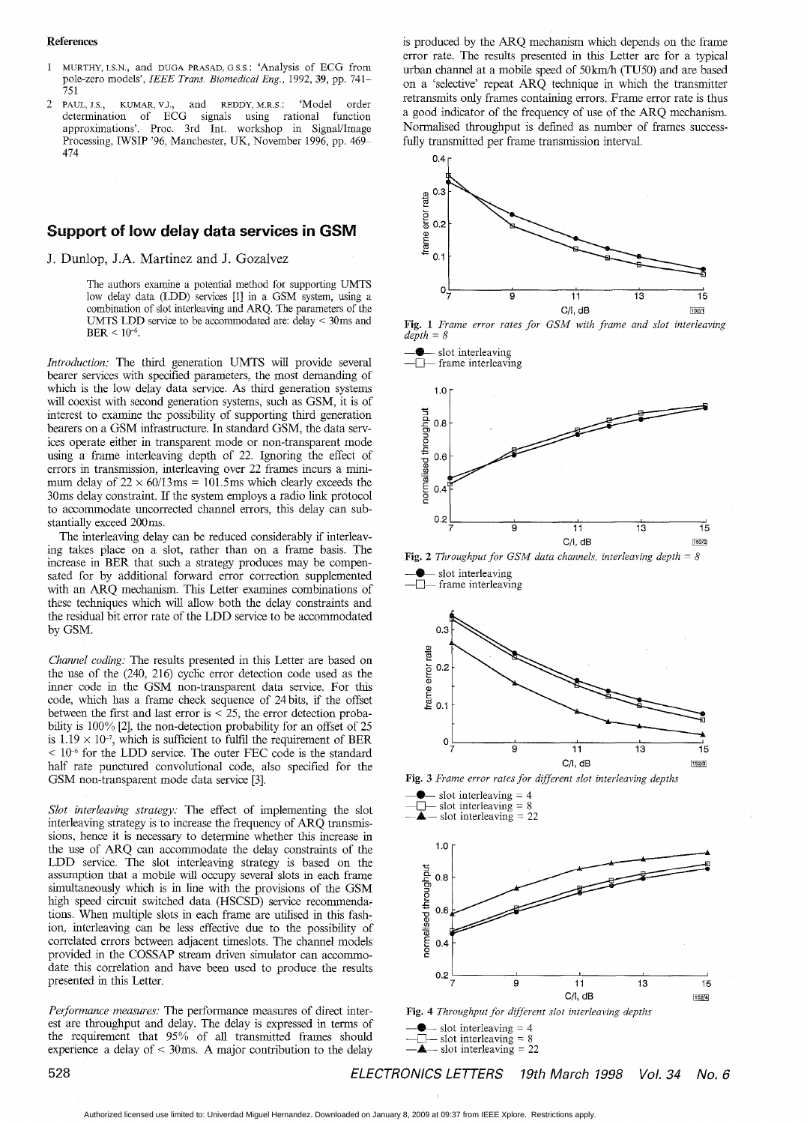#### <span id="page-0-0"></span>**References**

- MURTHY, I.s.N., and DUGA PRASAD, **G.S.S** : 'Analysis of ECG from pole-zero models', *IEEE Trans. Biomedical Eng.,* 1992, **39,** pp. 741- 751
- $\overline{2}$ PAUL, J.S., KUMAR, V.J., and REDDY, M.R.S.: 'Model order determination of ECG signals using rational function approximations'. Proc. 3rd Int. workshop in Signal/Image Processing, IWSIP '96, Manchester, UK, November 1996, pp. 469- 474

## **port of low delay data services in GSM**

J. Dunlop, J.A. Martinez and J. Gozalvez

The authors examine a potential method for supporting UMTS low delay data (LDD) services [l] in a GSM system, using a combination of slot interleaving and *ARQ.* The parameters of the UMTS LDD service to be accommodated are: delay < 30ms and  $BER < 10^{-6}$ .

*Introduction;* The third generation UMTS will provide several bearer services with specified parameters, the most demanding of which is the low delay data service. As third generation systems will coexist with second generation systems, such as GSM, it is of interest to examine the possibility of supporting third generation bearers on a GSM infrastructure. In standard GSM, the data services operate either in transparent mode or non-transparent mode using a frame interleaving depth of 22. Ignoring the effect of errors in transmssion, interleaving over 22 frames incurs a minimum delay of  $22 \times 60/13$  ms = 101.5ms which clearly exceeds the 30ms delay constraint. If the system employs a radio link protocol to accommodate uncorrected channel errors, this delay can substantially exceed 200ms.

The interleaving delay can be reduced considerably if interleavmg takes place on a slot, rather than on a frame basis. The increase in BER that such a strategy produces may be compensated for by additional forward error correction supplemented with an ARQ mechanism. This Letter examines combinations of these techniques which will allow both the delay constraints and the residual bit error rate of the LDD service to be accommodated by GSM.

*Channel coding:* The results presented in this Letter are based on the use of the (240, 216) cyclic error detection code used as the inner code in the GSM non-transparent data service. For this code, which has a frame check sequence of 24 bits, if the offset between the first and last error is  $<$  25, the error detection probability is 100% [2], the non-detection probability for an offset of 25 is  $1.19 \times 10^{-7}$ , which is sufficient to fulfil the requirement of BER  $< 10<sup>-6</sup>$  for the LDD service. The outer FEC code is the standard half rate punctured convolutional code, also specified for the GSM non-transparent mode data service *[3].* 

*Slot interleaving strategy:* The effect of implementing the slot interleaving strategy is to increase the frequency of ARQ transmissions, hence it is necessary to determine whether this increase in the use of ARQ can accommodate the delay constraints of the LDD service. The slot interleaving strategy is based on the assumption that a mobile will occupy several slots in each frame simultaneously which is in line with the provisions of the GSM high speed circuit switched data (HSCSD) service recommendations. When multiple slots in each frame are utilised in this fashion, interleaving can be less effective due to the possibility of correlated errors between adjacent timeslots. The channel models provided in the *COSSAP* stream driven simulator can accommodate this correlation and have been used to produce the results presented in this Letter.

*Performance measures:* The performance measures of direct interest are throughput and delay. The delay is expressed in terms of the requirement that 95% of all transmitted frames should experience a delay of < 30ms. A major contribution to the delay is produced by the ARQ mechanism which depends on the frame error rate. The results presented in this Letter are for a typical urban channel at a mobile speed of 50km/h (TU50) and are based on a 'selective' repeat ARQ technique in which the transmitter retransmits only frames containing errors. Frame error rate is thus a good indicator of the frequency of use of the ARQ mechanism. Normalised throughput is defmed as number of frames successfully transmitted per frame transmission interval.











**Fig. 4** *Throughput for different slot interleaving depths* 



*528 ELECTRONICS LETTERS 19th March 7998 Vol. 34 No. 6*